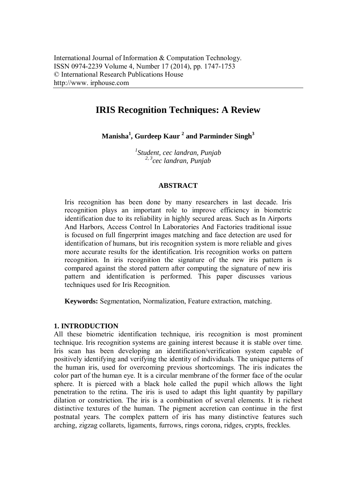# **IRIS Recognition Techniques: A Review**

**Manisha<sup>1</sup> , Gurdeep Kaur <sup>2</sup> and Parminder Singh<sup>3</sup>**

*1 Student, cec landran, Punjab 2, 3 cec landran, Punjab*

# **ABSTRACT**

Iris recognition has been done by many researchers in last decade. Iris recognition plays an important role to improve efficiency in biometric identification due to its reliability in highly secured areas. Such as In Airports And Harbors, Access Control In Laboratories And Factories traditional issue is focused on full fingerprint images matching and face detection are used for identification of humans, but iris recognition system is more reliable and gives more accurate results for the identification. Iris recognition works on pattern recognition. In iris recognition the signature of the new iris pattern is compared against the stored pattern after computing the signature of new iris pattern and identification is performed. This paper discusses various techniques used for Iris Recognition.

**Keywords:** Segmentation, Normalization, Feature extraction, matching.

# **1. INTRODUCTION**

All these biometric identification technique, iris recognition is most prominent technique. Iris recognition systems are gaining interest because it is stable over time. Iris scan has been developing an identification/verification system capable of positively identifying and verifying the identity of individuals. The unique patterns of the human iris, used for overcoming previous shortcomings. The iris indicates the color part of the human eye. It is a circular membrane of the former face of the ocular sphere. It is pierced with a black hole called the pupil which allows the light penetration to the retina. The iris is used to adapt this light quantity by papillary dilation or constriction. The iris is a combination of several elements. It is richest distinctive textures of the human. The pigment accretion can continue in the first postnatal years. The complex pattern of iris has many distinctive features such arching, zigzag collarets, ligaments, furrows, rings corona, ridges, crypts, freckles.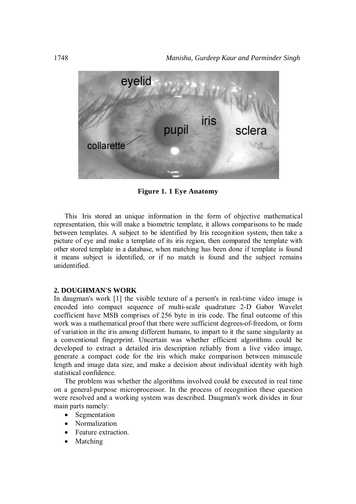

**Figure 1. 1 Eye Anatomy**

This Iris stored an unique information in the form of objective mathematical representation, this will make a biometric template, it allows comparisons to be made between templates. A subject to be identified by Iris recognition system, then take a picture of eye and make a template of its iris region, then compared the template with other stored template in a database, when matching has been done if template is found it means subject is identified, or if no match is found and the subject remains unidentified.

#### **2. DOUGHMAN'S WORK**

In daugman's work [1] the visible texture of a person's in real-time video image is encoded into compact sequence of multi-scale quadrature 2-D Gabor Wavelet coefficient have MSB comprises of 256 byte in iris code. The final outcome of this work was a mathematical proof that there were sufficient degrees-of-freedom, or form of variation in the iris among different humans, to impart to it the same singularity as a conventional fingerprint. Uncertain was whether efficient algorithms could be developed to extract a detailed iris description reliably from a live video image, generate a compact code for the iris which make comparison between minuscule length and image data size, and make a decision about individual identity with high statistical confidence.

The problem was whether the algorithms involved could be executed in real time on a general-purpose microprocessor. In the process of recognition these question were resolved and a working system was described. Daugman's work divides in four main parts namely:

- Segmentation
- Normalization
- Feature extraction.
- Matching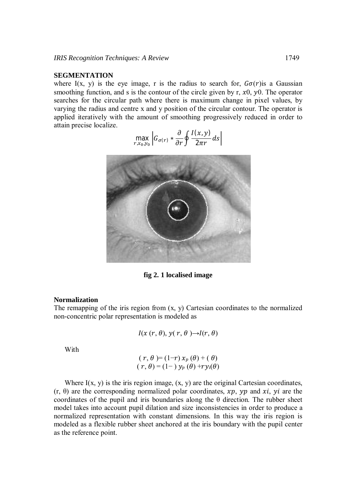## **SEGMENTATION**

where I(x, y) is the eye image, r is the radius to search for,  $G\sigma(r)$  is a Gaussian smoothing function, and s is the contour of the circle given by r,  $x0$ ,  $y0$ . The operator searches for the circular path where there is maximum change in pixel values, by varying the radius and centre x and y position of the circular contour. The operator is applied iteratively with the amount of smoothing progressively reduced in order to attain precise localize.

$$
\max_{r,x_0,y_0}\left|G_{\sigma(r)}*\frac{\partial}{\partial r}\oint \frac{I(x,y)}{2\pi r}ds\right|
$$



**fig 2. 1 localised image**

#### **Normalization**

The remapping of the iris region from  $(x, y)$  Cartesian coordinates to the normalized non-concentric polar representation is modeled as

$$
I(x(r, \theta), y(r, \theta) \rightarrow I(r, \theta)
$$

With

$$
(r, \theta) = (1-r) x_p (\theta) + (\theta)
$$
  

$$
(r, \theta) = (1-r) y_p (\theta) + ry_i(\theta)
$$

Where  $I(x, y)$  is the iris region image,  $(x, y)$  are the original Cartesian coordinates,  $(r, \theta)$  are the corresponding normalized polar coordinates, xp, yp and xi, yi are the coordinates of the pupil and iris boundaries along the  $\theta$  direction. The rubber sheet model takes into account pupil dilation and size inconsistencies in order to produce a normalized representation with constant dimensions. In this way the iris region is modeled as a flexible rubber sheet anchored at the iris boundary with the pupil center as the reference point.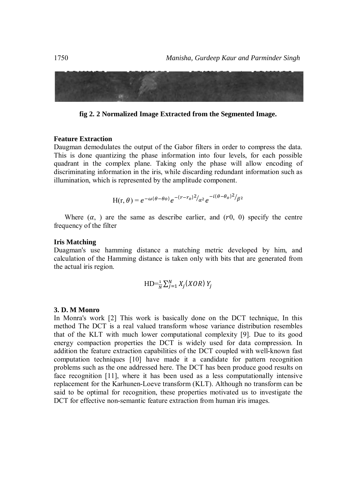

fig 2. 2 Normalized Image Extracted from the Segmented Image.

#### **Feature Extraction**

Daugman demodulates the output of the Gabor filters in order to compress the data. This is done quantizing the phase information into four levels, for each possible quadrant in the complex plane. Taking only the phase will allow encoding of discriminating information in the iris, while discarding redundant information such as illumination, which is represented by the amplitude component.

$$
H(r,\theta) = e^{-\omega(\theta-\theta o)}e^{-(r-r_0)^2/2}e^{-i(\theta-\theta_o)^2/2}
$$

Where  $(\alpha, )$  are the same as describe earlier, and  $(r0, 0)$  specify the centre frequency of the filter

## **Iris Matching**

Duagman's use hamming distance a matching metric developed by him, and calculation of the Hamming distance is taken only with bits that are generated from the actual iris region.

$$
HD = \frac{1}{N} \sum_{i=1}^{N} X_i (XOR) Y_i
$$

## 3. D. M Monro

In Monra's work [2] This work is basically done on the DCT technique, In this method The DCT is a real valued transform whose variance distribution resembles that of the KLT with much lower computational complexity [9]. Due to its good energy compaction properties the DCT is widely used for data compression. In addition the feature extraction capabilities of the DCT coupled with well-known fast computation techniques [10] have made it a candidate for pattern recognition problems such as the one addressed here. The DCT has been produce good results on face recognition [11], where it has been used as a less computationally intensive replacement for the Karhunen-Loeve transform (KLT). Although no transform can be said to be optimal for recognition, these properties motivated us to investigate the DCT for effective non-semantic feature extraction from human iris images.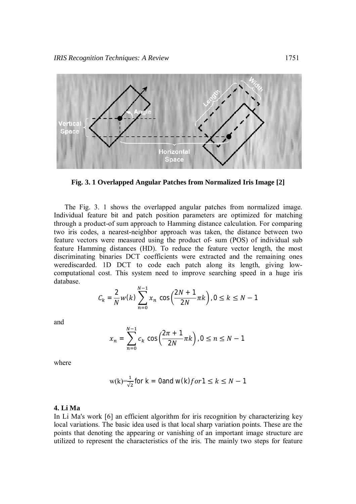

**Fig. 3. 1 Overlapped Angular Patches from Normalized Iris Image [2]**

The Fig. 3. 1 shows the overlapped angular patches from normalized image. Individual feature bit and patch position parameters are optimized for matching through a product-of sum approach to Hamming distance calculation. For comparing two iris codes, a nearest-neighbor approach was taken, the distance between two feature vectors were measured using the product of- sum (POS) of individual sub feature Hamming distances (HD). To reduce the feature vector length, the most discriminating binaries DCT coefficients were extracted and the remaining ones werediscarded. 1D DCT to code each patch along its length, giving lowcomputational cost. This system need to improve searching speed in a huge iris database. ேିଵ

$$
C_k = \frac{2}{N} w(k) \sum_{n=0}^{N-1} x_n \cos\left(\frac{2N+1}{2N}\pi k\right), 0 \le k \le N-1
$$

and

$$
x_n = \sum_{n=0}^{N-1} c_k \cos\left(\frac{2\pi + 1}{2N}\pi k\right), 0 \le n \le N - 1
$$

where

$$
w(k) = \frac{1}{\sqrt{2}} \text{ for } k = 0 \text{ and } w(k) \text{ for } 1 \le k \le N - 1
$$

#### **4. Li Ma**

In Li Ma's work [6] an efficient algorithm for iris recognition by characterizing key local variations. The basic idea used is that local sharp variation points. These are the points that denoting the appearing or vanishing of an important image structure are utilized to represent the characteristics of the iris. The mainly two steps for feature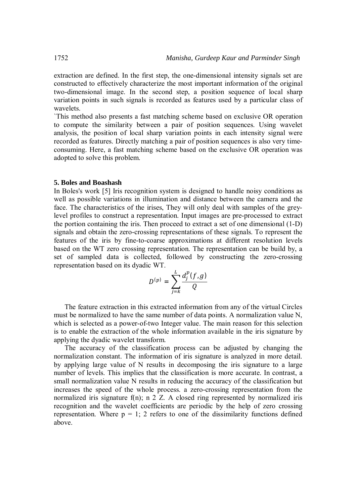extraction are defined. In the first step, the one-dimensional intensity signals set are constructed to effectively characterize the most important information of the original two-dimensional image. In the second step, a position sequence of local sharp variation points in such signals is recorded as features used by a particular class of wavelets.

`This method also presents a fast matching scheme based on exclusive OR operation to compute the similarity between a pair of position sequences. Using wavelet analysis, the position of local sharp variation points in each intensity signal were recorded as features. Directly matching a pair of position sequences is also very timeconsuming. Here, a fast matching scheme based on the exclusive OR operation was adopted to solve this problem.

#### **5. Boles and Boashash**

In Boles's work [5] Iris recognition system is designed to handle noisy conditions as well as possible variations in illumination and distance between the camera and the face. The characteristics of the irises, They will only deal with samples of the greylevel profiles to construct a representation. Input images are pre-processed to extract the portion containing the iris. Then proceed to extract a set of one dimensional (1-D) signals and obtain the zero-crossing representations of these signals. To represent the features of the iris by fine-to-coarse approximations at different resolution levels based on the WT zero crossing representation. The representation can be build by, a set of sampled data is collected, followed by constructing the zero-crossing representation based on its dyadic WT.

$$
D^{(p)} = \sum_{j=k}^L \frac{d_j^p(f,g)}{Q}
$$

The feature extraction in this extracted information from any of the virtual Circles must be normalized to have the same number of data points. A normalization value N, which is selected as a power-of-two Integer value. The main reason for this selection is to enable the extraction of the whole information available in the iris signature by applying the dyadic wavelet transform.

The accuracy of the classification process can be adjusted by changing the normalization constant. The information of iris signature is analyzed in more detail. by applying large value of N results in decomposing the iris signature to a large number of levels. This implies that the classification is more accurate. In contrast, a small normalization value N results in reducing the accuracy of the classification but increases the speed of the whole process. a zero-crossing representation from the normalized iris signature  $f(n)$ ; n 2 Z. A closed ring represented by normalized iris recognition and the wavelet coefficients are periodic by the help of zero crossing representation. Where  $p = 1$ ; 2 refers to one of the dissimilarity functions defined above.